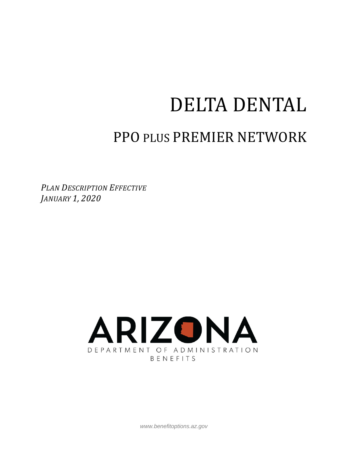# DELTA DENTAL

# PPO PLUS PREMIER NETWORK

*PLAN DESCRIPTION EFFECTIVE JANUARY 1, 2020*



*www.benefitoptions.az.gov*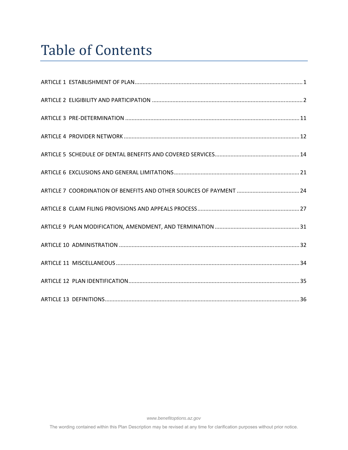# Table of Contents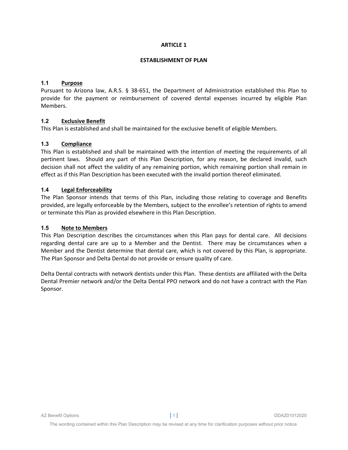#### **ESTABLISHMENT OF PLAN**

# **1.1 Purpose**

Pursuant to Arizona law, A.R.S. § 38-651, the Department of Administration established this Plan to provide for the payment or reimbursement of covered dental expenses incurred by eligible Plan Members.

# **1.2 Exclusive Benefit**

This Plan is established and shall be maintained for the exclusive benefit of eligible Members.

# **1.3 Compliance**

This Plan is established and shall be maintained with the intention of meeting the requirements of all pertinent laws. Should any part of this Plan Description, for any reason, be declared invalid, such decision shall not affect the validity of any remaining portion, which remaining portion shall remain in effect as if this Plan Description has been executed with the invalid portion thereof eliminated.

#### **1.4 Legal Enforceability**

The Plan Sponsor intends that terms of this Plan, including those relating to coverage and Benefits provided, are legally enforceable by the Members, subject to the enrollee's retention of rights to amend or terminate this Plan as provided elsewhere in this Plan Description.

#### **1.5 Note to Members**

This Plan Description describes the circumstances when this Plan pays for dental care. All decisions regarding dental care are up to a Member and the Dentist. There may be circumstances when a Member and the Dentist determine that dental care, which is not covered by this Plan, is appropriate. The Plan Sponsor and Delta Dental do not provide or ensure quality of care.

Delta Dental contracts with network dentists under this Plan. These dentists are affiliated with the Delta Dental Premier network and/or the Delta Dental PPO network and do not have a contract with the Plan Sponsor.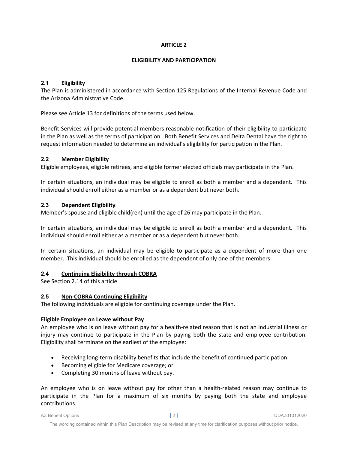#### **ELIGIBILITY AND PARTICIPATION**

# **2.1 Eligibility**

The Plan is administered in accordance with Section 125 Regulations of the Internal Revenue Code and the Arizona Administrative Code.

Please see Article 13 for definitions of the terms used below.

Benefit Services will provide potential members reasonable notification of their eligibility to participate in the Plan as well as the terms of participation. Both Benefit Services and Delta Dental have the right to request information needed to determine an individual's eligibility for participation in the Plan.

#### **2.2 Member Eligibility**

Eligible employees, eligible retirees, and eligible former elected officials may participate in the Plan.

In certain situations, an individual may be eligible to enroll as both a member and a dependent. This individual should enroll either as a member or as a dependent but never both.

# **2.3 Dependent Eligibility**

Member's spouse and eligible child(ren) until the age of 26 may participate in the Plan.

In certain situations, an individual may be eligible to enroll as both a member and a dependent. This individual should enroll either as a member or as a dependent but never both.

In certain situations, an individual may be eligible to participate as a dependent of more than one member. This individual should be enrolled as the dependent of only one of the members.

# **2.4 Continuing Eligibility through COBRA**

See Section 2.14 of this article.

# **2.5 Non‐COBRA Continuing Eligibility**

The following individuals are eligible for continuing coverage under the Plan.

#### **Eligible Employee on Leave without Pay**

An employee who is on leave without pay for a health‐related reason that is not an industrial illness or injury may continue to participate in the Plan by paying both the state and employee contribution. Eligibility shall terminate on the earliest of the employee:

- Receiving long‐term disability benefits that include the benefit of continued participation;
- **•** Becoming eligible for Medicare coverage; or
- Completing 30 months of leave without pay.

An employee who is on leave without pay for other than a health‐related reason may continue to participate in the Plan for a maximum of six months by paying both the state and employee contributions.

AZ Benefit Options **|** 2 **|** DDAZ01012020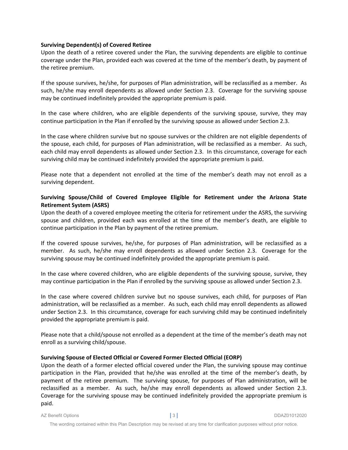#### **Surviving Dependent(s) of Covered Retiree**

Upon the death of a retiree covered under the Plan, the surviving dependents are eligible to continue coverage under the Plan, provided each was covered at the time of the member's death, by payment of the retiree premium.

If the spouse survives, he/she, for purposes of Plan administration, will be reclassified as a member. As such, he/she may enroll dependents as allowed under Section 2.3. Coverage for the surviving spouse may be continued indefinitely provided the appropriate premium is paid.

In the case where children, who are eligible dependents of the surviving spouse, survive, they may continue participation in the Plan if enrolled by the surviving spouse as allowed under Section 2.3.

In the case where children survive but no spouse survives or the children are not eligible dependents of the spouse, each child, for purposes of Plan administration, will be reclassified as a member. As such, each child may enroll dependents as allowed under Section 2.3. In this circumstance, coverage for each surviving child may be continued indefinitely provided the appropriate premium is paid.

Please note that a dependent not enrolled at the time of the member's death may not enroll as a surviving dependent.

# **Surviving Spouse/Child of Covered Employee Eligible for Retirement under the Arizona State Retirement System (ASRS)**

Upon the death of a covered employee meeting the criteria for retirement under the ASRS, the surviving spouse and children, provided each was enrolled at the time of the member's death, are eligible to continue participation in the Plan by payment of the retiree premium.

If the covered spouse survives, he/she, for purposes of Plan administration, will be reclassified as a member. As such, he/she may enroll dependents as allowed under Section 2.3. Coverage for the surviving spouse may be continued indefinitely provided the appropriate premium is paid.

In the case where covered children, who are eligible dependents of the surviving spouse, survive, they may continue participation in the Plan if enrolled by the surviving spouse as allowed under Section 2.3.

In the case where covered children survive but no spouse survives, each child, for purposes of Plan administration, will be reclassified as a member. As such, each child may enroll dependents as allowed under Section 2.3. In this circumstance, coverage for each surviving child may be continued indefinitely provided the appropriate premium is paid.

Please note that a child/spouse not enrolled as a dependent at the time of the member's death may not enroll as a surviving child/spouse.

#### **Surviving Spouse of Elected Official or Covered Former Elected Official (EORP)**

Upon the death of a former elected official covered under the Plan, the surviving spouse may continue participation in the Plan, provided that he/she was enrolled at the time of the member's death, by payment of the retiree premium. The surviving spouse, for purposes of Plan administration, will be reclassified as a member. As such, he/she may enroll dependents as allowed under Section 2.3. Coverage for the surviving spouse may be continued indefinitely provided the appropriate premium is paid.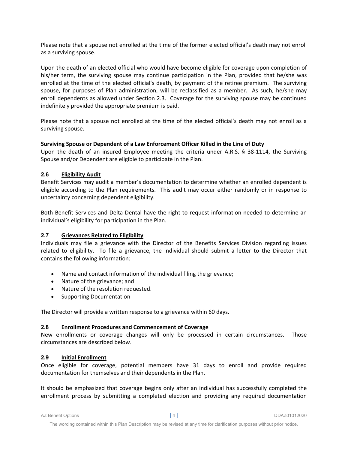Please note that a spouse not enrolled at the time of the former elected official's death may not enroll as a surviving spouse.

Upon the death of an elected official who would have become eligible for coverage upon completion of his/her term, the surviving spouse may continue participation in the Plan, provided that he/she was enrolled at the time of the elected official's death, by payment of the retiree premium. The surviving spouse, for purposes of Plan administration, will be reclassified as a member. As such, he/she may enroll dependents as allowed under Section 2.3. Coverage for the surviving spouse may be continued indefinitely provided the appropriate premium is paid.

Please note that a spouse not enrolled at the time of the elected official's death may not enroll as a surviving spouse.

# **Surviving Spouse or Dependent of a Law Enforcement Officer Killed in the Line of Duty**

Upon the death of an insured Employee meeting the criteria under A.R.S. § 38-1114, the Surviving Spouse and/or Dependent are eligible to participate in the Plan.

# **2.6 Eligibility Audit**

Benefit Services may audit a member's documentation to determine whether an enrolled dependent is eligible according to the Plan requirements. This audit may occur either randomly or in response to uncertainty concerning dependent eligibility.

Both Benefit Services and Delta Dental have the right to request information needed to determine an individual's eligibility for participation in the Plan.

# **2.7 Grievances Related to Eligibility**

Individuals may file a grievance with the Director of the Benefits Services Division regarding issues related to eligibility. To file a grievance, the individual should submit a letter to the Director that contains the following information:

- Name and contact information of the individual filing the grievance;
- Nature of the grievance; and
- Nature of the resolution requested.
- Supporting Documentation

The Director will provide a written response to a grievance within 60 days.

# **2.8 Enrollment Procedures and Commencement of Coverage**

New enrollments or coverage changes will only be processed in certain circumstances. Those circumstances are described below.

# **2.9 Initial Enrollment**

Once eligible for coverage, potential members have 31 days to enroll and provide required documentation for themselves and their dependents in the Plan.

It should be emphasized that coverage begins only after an individual has successfully completed the enrollment process by submitting a completed election and providing any required documentation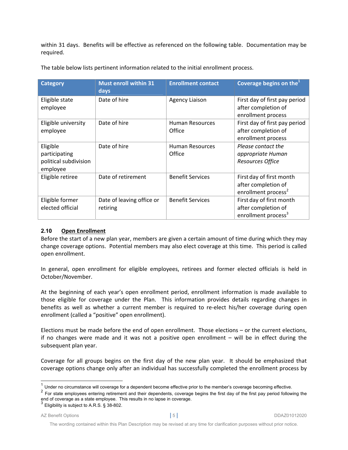within 31 days. Benefits will be effective as referenced on the following table. Documentation may be required.

| <b>Category</b>                                                | <b>Must enroll within 31</b><br>days  | <b>Enrollment contact</b>        | Coverage begins on the <sup>1</sup>                                                |
|----------------------------------------------------------------|---------------------------------------|----------------------------------|------------------------------------------------------------------------------------|
| Eligible state<br>employee                                     | Date of hire                          | <b>Agency Liaison</b>            | First day of first pay period<br>after completion of<br>enrollment process         |
| Eligible university<br>employee                                | Date of hire                          | <b>Human Resources</b><br>Office | First day of first pay period<br>after completion of<br>enrollment process         |
| Eligible<br>participating<br>political subdivision<br>employee | Date of hire                          | <b>Human Resources</b><br>Office | Please contact the<br>appropriate Human<br>Resources Office                        |
| Eligible retiree                                               | Date of retirement                    | <b>Benefit Services</b>          | First day of first month<br>after completion of<br>enrollment process <sup>2</sup> |
| Eligible former<br>elected official                            | Date of leaving office or<br>retiring | <b>Benefit Services</b>          | First day of first month<br>after completion of<br>enrollment process <sup>3</sup> |

The table below lists pertinent information related to the initial enrollment process.

# **2.10 Open Enrollment**

Before the start of a new plan year, members are given a certain amount of time during which they may change coverage options. Potential members may also elect coverage at this time. This period is called open enrollment.

In general, open enrollment for eligible employees, retirees and former elected officials is held in October/November.

At the beginning of each year's open enrollment period, enrollment information is made available to those eligible for coverage under the Plan. This information provides details regarding changes in benefits as well as whether a current member is required to re-elect his/her coverage during open enrollment (called a "positive" open enrollment).

Elections must be made before the end of open enrollment. Those elections – or the current elections, if no changes were made and it was not a positive open enrollment – will be in effect during the subsequent plan year.

Coverage for all groups begins on the first day of the new plan year. It should be emphasized that coverage options change only after an individual has successfully completed the enrollment process by

l

 $1$  Under no circumstance will coverage for a dependent become effective prior to the member's coverage becoming effective.

<sup>2</sup> For state employees entering retirement and their dependents, coverage begins the first day of the first pay period following the end of coverage as a state employee. This results in no lapse in coverage.<br><sup>3</sup> Eligibility is subject to A.R.S. § 38-802.

AZ Benefit Options **|** 5 **|** DDAZ01012020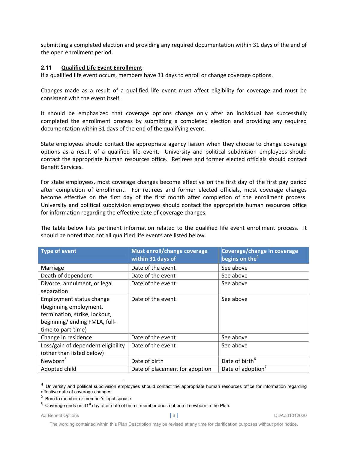submitting a completed election and providing any required documentation within 31 days of the end of the open enrollment period.

#### **2.11 Qualified Life Event Enrollment**

If a qualified life event occurs, members have 31 days to enroll or change coverage options.

Changes made as a result of a qualified life event must affect eligibility for coverage and must be consistent with the event itself.

It should be emphasized that coverage options change only after an individual has successfully completed the enrollment process by submitting a completed election and providing any required documentation within 31 days of the end of the qualifying event.

State employees should contact the appropriate agency liaison when they choose to change coverage options as a result of a qualified life event. University and political subdivision employees should contact the appropriate human resources office. Retirees and former elected officials should contact Benefit Services.

For state employees, most coverage changes become effective on the first day of the first pay period after completion of enrollment. For retirees and former elected officials, most coverage changes become effective on the first day of the first month after completion of the enrollment process. University and political subdivision employees should contact the appropriate human resources office for information regarding the effective date of coverage changes.

The table below lists pertinent information related to the qualified life event enrollment process. It should be noted that not all qualified life events are listed below.

| <b>Type of event</b>               | Must enroll/change coverage<br>within 31 days of | Coverage/change in coverage<br>begins on the <sup>4</sup> |
|------------------------------------|--------------------------------------------------|-----------------------------------------------------------|
| Marriage                           | Date of the event                                | See above                                                 |
| Death of dependent                 | Date of the event                                | See above                                                 |
| Divorce, annulment, or legal       | Date of the event                                | See above                                                 |
| separation                         |                                                  |                                                           |
| Employment status change           | Date of the event                                | See above                                                 |
| (beginning employment,             |                                                  |                                                           |
| termination, strike, lockout,      |                                                  |                                                           |
| beginning/ending FMLA, full-       |                                                  |                                                           |
| time to part-time)                 |                                                  |                                                           |
| Change in residence                | Date of the event                                | See above                                                 |
| Loss/gain of dependent eligibility | Date of the event                                | See above                                                 |
| (other than listed below)          |                                                  |                                                           |
| Newborn <sup>5</sup>               | Date of birth                                    | Date of birth <sup>6</sup>                                |
| Adopted child                      | Date of placement for adoption                   | Date of adoption <sup>7</sup>                             |

 $4$  University and political subdivision employees should contact the appropriate human resources office for information regarding effective date of coverage changes.

l

The wording contained within this Plan Description may be revised at any time for clarification purposes without prior notice.

 $5$  Born to member or member's legal spouse.

 $^6$  Coverage ends on 31 $^{\rm st}$  day after date of birth if member does not enroll newborn in the Plan.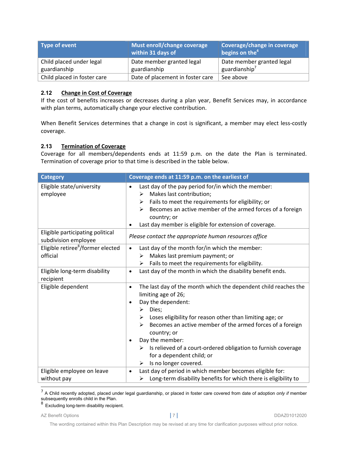| Type of event               | Must enroll/change coverage<br>within 31 days of | Coverage/change in coverage<br>begins on the <sup>4</sup> |
|-----------------------------|--------------------------------------------------|-----------------------------------------------------------|
| Child placed under legal    | Date member granted legal                        | Date member granted legal                                 |
| guardianship                | guardianship                                     | guardianship $7$                                          |
| Child placed in foster care | Date of placement in foster care                 | See above                                                 |

# **2.12 Change in Cost of Coverage**

If the cost of benefits increases or decreases during a plan year, Benefit Services may, in accordance with plan terms, automatically change your elective contribution.

When Benefit Services determines that a change in cost is significant, a member may elect less-costly coverage.

# **2.13 Termination of Coverage**

Coverage for all members/dependents ends at 11:59 p.m. on the date the Plan is terminated. Termination of coverage prior to that time is described in the table below.

| <b>Category</b>                                           | Coverage ends at 11:59 p.m. on the earliest of                                                                                                                                                                                                                                                                                                                                                                                                                    |
|-----------------------------------------------------------|-------------------------------------------------------------------------------------------------------------------------------------------------------------------------------------------------------------------------------------------------------------------------------------------------------------------------------------------------------------------------------------------------------------------------------------------------------------------|
| Eligible state/university<br>employee                     | Last day of the pay period for/in which the member:<br>$\bullet$<br>Makes last contribution;<br>➤<br>Fails to meet the requirements for eligibility; or<br>➤<br>Becomes an active member of the armed forces of a foreign<br>↘<br>country; or<br>Last day member is eligible for extension of coverage.<br>$\bullet$                                                                                                                                              |
| Eligible participating political<br>subdivision employee  | Please contact the appropriate human resources office                                                                                                                                                                                                                                                                                                                                                                                                             |
| Eligible retiree <sup>8</sup> /former elected<br>official | Last day of the month for/in which the member:<br>$\bullet$<br>Makes last premium payment; or<br>➤<br>Fails to meet the requirements for eligibility.<br>≻                                                                                                                                                                                                                                                                                                        |
| Eligible long-term disability<br>recipient                | Last day of the month in which the disability benefit ends.<br>$\bullet$                                                                                                                                                                                                                                                                                                                                                                                          |
| Eligible dependent                                        | The last day of the month which the dependent child reaches the<br>$\bullet$<br>limiting age of 26;<br>Day the dependent:<br>Dies;<br>$\blacktriangleright$<br>Loses eligibility for reason other than limiting age; or<br>≻<br>Becomes an active member of the armed forces of a foreign<br>↘<br>country; or<br>Day the member:<br>Is relieved of a court-ordered obligation to furnish coverage<br>➤<br>for a dependent child; or<br>Is no longer covered.<br>➤ |
| Eligible employee on leave<br>without pay                 | Last day of period in which member becomes eligible for:<br>$\bullet$<br>Long-term disability benefits for which there is eligibility to<br>≻                                                                                                                                                                                                                                                                                                                     |

 7 A child recently adopted, placed under legal guardianship, or placed in foster care covered from date of adoption *only if* member subsequently enrolls child in the Plan.

 $^8$  Excluding long-term disability recipient.

AZ Benefit Options **|** 7 **|** DDAZ01012020

The wording contained within this Plan Description may be revised at any time for clarification purposes without prior notice.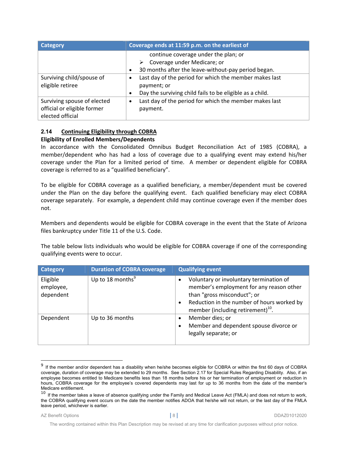| Category                    | Coverage ends at 11:59 p.m. on the earliest of                        |  |
|-----------------------------|-----------------------------------------------------------------------|--|
|                             | continue coverage under the plan; or                                  |  |
|                             | Coverage under Medicare; or<br>➤                                      |  |
|                             | 30 months after the leave-without-pay period began.<br>$\bullet$      |  |
| Surviving child/spouse of   | Last day of the period for which the member makes last                |  |
| eligible retiree            | payment; or                                                           |  |
|                             | Day the surviving child fails to be eligible as a child.<br>$\bullet$ |  |
| Surviving spouse of elected | Last day of the period for which the member makes last<br>$\bullet$   |  |
| official or eligible former | payment.                                                              |  |
| elected official            |                                                                       |  |

#### **2.14 Continuing Eligibility through COBRA Eligibility of Enrolled Members/Dependents**

In accordance with the Consolidated Omnibus Budget Reconciliation Act of 1985 (COBRA), a member/dependent who has had a loss of coverage due to a qualifying event may extend his/her coverage under the Plan for a limited period of time. A member or dependent eligible for COBRA coverage is referred to as a "qualified beneficiary".

To be eligible for COBRA coverage as a qualified beneficiary, a member/dependent must be covered under the Plan on the day before the qualifying event. Each qualified beneficiary may elect COBRA coverage separately. For example, a dependent child may continue coverage even if the member does not.

Members and dependents would be eligible for COBRA coverage in the event that the State of Arizona files bankruptcy under Title 11 of the U.S. Code.

The table below lists individuals who would be eligible for COBRA coverage if one of the corresponding qualifying events were to occur.

| <b>Category</b>                    | <b>Duration of COBRA coverage</b> | <b>Qualifying event</b>                                                                                                                                                                                           |
|------------------------------------|-----------------------------------|-------------------------------------------------------------------------------------------------------------------------------------------------------------------------------------------------------------------|
| Eligible<br>employee,<br>dependent | Up to 18 months $9$               | Voluntary or involuntary termination of<br>member's employment for any reason other<br>than "gross misconduct"; or<br>Reduction in the number of hours worked by<br>member (including retirement) <sup>10</sup> . |
| Dependent                          | Up to 36 months                   | Member dies; or<br>Member and dependent spouse divorce or<br>legally separate; or                                                                                                                                 |

 $9$  If the member and/or dependent has a disability when he/she becomes eligible for COBRA or within the first 60 days of COBRA coverage, duration of coverage may be extended to 29 months. See Section 2.17 for Special Rules Regarding Disability. Also, if an employee becomes entitled to Medicare benefits less than 18 months before his or her termination of employment or reduction in hours, COBRA coverage for the employee's covered dependents may last for up to 36 months from the date of the member's Medicare entitlement.

l

 $10$  If the member takes a leave of absence qualifying under the Family and Medical Leave Act (FMLA) and does not return to work, the COBRA qualifying event occurs on the date the member notifies ADOA that he/she will not return, or the last day of the FMLA leave period, whichever is earlier.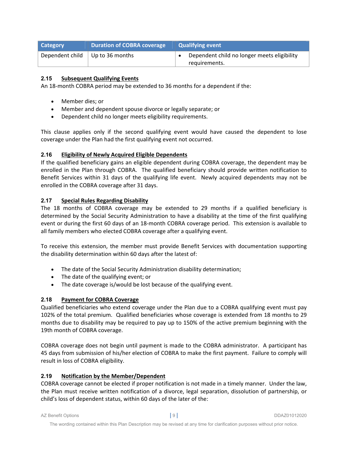| <b>Category</b>                             | <b>Duration of COBRA coverage</b> | <b>Qualifying event</b>                                      |
|---------------------------------------------|-----------------------------------|--------------------------------------------------------------|
| Dependent child $\parallel$ Up to 36 months |                                   | Dependent child no longer meets eligibility<br>requirements. |

# **2.15 Subsequent Qualifying Events**

An 18-month COBRA period may be extended to 36 months for a dependent if the:

- Member dies; or
- Member and dependent spouse divorce or legally separate; or
- Dependent child no longer meets eligibility requirements.

This clause applies only if the second qualifying event would have caused the dependent to lose coverage under the Plan had the first qualifying event not occurred.

# **2.16 Eligibility of Newly Acquired Eligible Dependents**

If the qualified beneficiary gains an eligible dependent during COBRA coverage, the dependent may be enrolled in the Plan through COBRA. The qualified beneficiary should provide written notification to Benefit Services within 31 days of the qualifying life event. Newly acquired dependents may not be enrolled in the COBRA coverage after 31 days.

# **2.17 Special Rules Regarding Disability**

The 18 months of COBRA coverage may be extended to 29 months if a qualified beneficiary is determined by the Social Security Administration to have a disability at the time of the first qualifying event or during the first 60 days of an 18-month COBRA coverage period. This extension is available to all family members who elected COBRA coverage after a qualifying event.

To receive this extension, the member must provide Benefit Services with documentation supporting the disability determination within 60 days after the latest of:

- The date of the Social Security Administration disability determination;
- The date of the qualifying event; or
- The date coverage is/would be lost because of the qualifying event.

# **2.18 Payment for COBRA Coverage**

Qualified beneficiaries who extend coverage under the Plan due to a COBRA qualifying event must pay 102% of the total premium. Qualified beneficiaries whose coverage is extended from 18 months to 29 months due to disability may be required to pay up to 150% of the active premium beginning with the 19th month of COBRA coverage.

COBRA coverage does not begin until payment is made to the COBRA administrator. A participant has 45 days from submission of his/her election of COBRA to make the first payment. Failure to comply will result in loss of COBRA eligibility.

# **2.19 Notification by the Member/Dependent**

COBRA coverage cannot be elected if proper notification is not made in a timely manner. Under the law, the Plan must receive written notification of a divorce, legal separation, dissolution of partnership, or child's loss of dependent status, within 60 days of the later of the: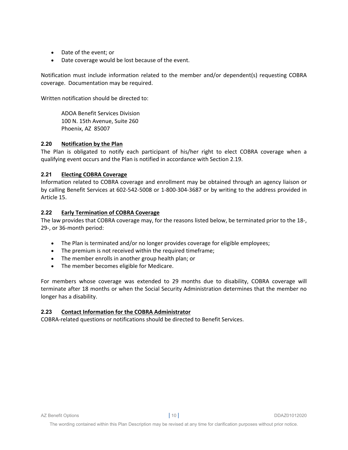- Date of the event; or
- Date coverage would be lost because of the event.

Notification must include information related to the member and/or dependent(s) requesting COBRA coverage. Documentation may be required.

Written notification should be directed to:

ADOA Benefit Services Division 100 N. 15th Avenue, Suite 260 Phoenix, AZ 85007

#### **2.20 Notification by the Plan**

The Plan is obligated to notify each participant of his/her right to elect COBRA coverage when a qualifying event occurs and the Plan is notified in accordance with Section 2.19.

# **2.21 Electing COBRA Coverage**

Information related to COBRA coverage and enrollment may be obtained through an agency liaison or by calling Benefit Services at 602‐542‐5008 or 1‐800‐304‐3687 or by writing to the address provided in Article 15.

# **2.22 Early Termination of COBRA Coverage**

The law provides that COBRA coverage may, for the reasons listed below, be terminated prior to the 18‐, 29‐, or 36‐month period:

- The Plan is terminated and/or no longer provides coverage for eligible employees;
- The premium is not received within the required timeframe;
- The member enrolls in another group health plan; or
- The member becomes eligible for Medicare.

For members whose coverage was extended to 29 months due to disability, COBRA coverage will terminate after 18 months or when the Social Security Administration determines that the member no longer has a disability.

# **2.23 Contact Information for the COBRA Administrator**

COBRA‐related questions or notifications should be directed to Benefit Services.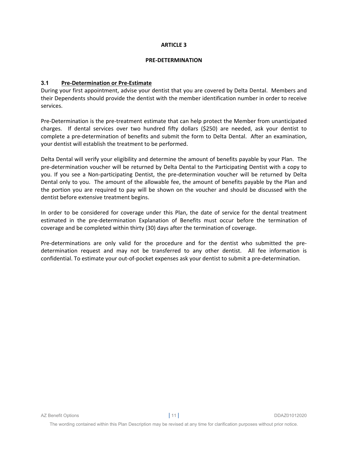#### **PRE‐DETERMINATION**

#### **3.1 Pre‐Determination or Pre‐Estimate**

During your first appointment, advise your dentist that you are covered by Delta Dental. Members and their Dependents should provide the dentist with the member identification number in order to receive services.

Pre‐Determination is the pre‐treatment estimate that can help protect the Member from unanticipated charges. If dental services over two hundred fifty dollars (\$250) are needed, ask your dentist to complete a pre‐determination of benefits and submit the form to Delta Dental. After an examination, your dentist will establish the treatment to be performed.

Delta Dental will verify your eligibility and determine the amount of benefits payable by your Plan. The pre‐determination voucher will be returned by Delta Dental to the Participating Dentist with a copy to you. If you see a Non-participating Dentist, the pre-determination voucher will be returned by Delta Dental only to you. The amount of the allowable fee, the amount of benefits payable by the Plan and the portion you are required to pay will be shown on the voucher and should be discussed with the dentist before extensive treatment begins.

In order to be considered for coverage under this Plan, the date of service for the dental treatment estimated in the pre-determination Explanation of Benefits must occur before the termination of coverage and be completed within thirty (30) days after the termination of coverage.

Pre-determinations are only valid for the procedure and for the dentist who submitted the predetermination request and may not be transferred to any other dentist. All fee information is confidential. To estimate your out‐of‐pocket expenses ask your dentist to submit a pre‐determination.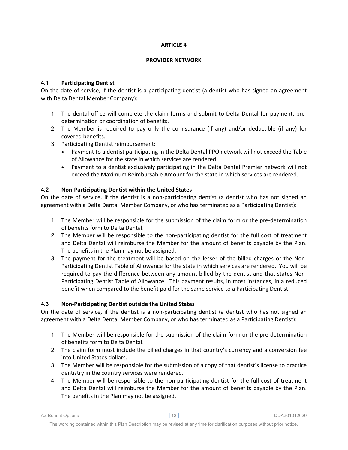#### **PROVIDER NETWORK**

# **4.1 Participating Dentist**

On the date of service, if the dentist is a participating dentist (a dentist who has signed an agreement with Delta Dental Member Company):

- 1. The dental office will complete the claim forms and submit to Delta Dental for payment, pre‐ determination or coordination of benefits.
- 2. The Member is required to pay only the co-insurance (if any) and/or deductible (if any) for covered benefits.
- 3. Participating Dentist reimbursement:
	- Payment to a dentist participating in the Delta Dental PPO network will not exceed the Table of Allowance for the state in which services are rendered.
	- Payment to a dentist exclusively participating in the Delta Dental Premier network will not exceed the Maximum Reimbursable Amount for the state in which services are rendered.

# **4.2 Non‐Participating Dentist within the United States**

On the date of service, if the dentist is a non‐participating dentist (a dentist who has not signed an agreement with a Delta Dental Member Company, or who has terminated as a Participating Dentist):

- 1. The Member will be responsible for the submission of the claim form or the pre‐determination of benefits form to Delta Dental.
- 2. The Member will be responsible to the non-participating dentist for the full cost of treatment and Delta Dental will reimburse the Member for the amount of benefits payable by the Plan. The benefits in the Plan may not be assigned.
- 3. The payment for the treatment will be based on the lesser of the billed charges or the Non‐ Participating Dentist Table of Allowance for the state in which services are rendered. You will be required to pay the difference between any amount billed by the dentist and that states Non-Participating Dentist Table of Allowance. This payment results, in most instances, in a reduced benefit when compared to the benefit paid for the same service to a Participating Dentist.

# **4.3 Non‐Participating Dentist outside the United States**

On the date of service, if the dentist is a non‐participating dentist (a dentist who has not signed an agreement with a Delta Dental Member Company, or who has terminated as a Participating Dentist):

- 1. The Member will be responsible for the submission of the claim form or the pre-determination of benefits form to Delta Dental.
- 2. The claim form must include the billed charges in that country's currency and a conversion fee into United States dollars.
- 3. The Member will be responsible for the submission of a copy of that dentist's license to practice dentistry in the country services were rendered.
- 4. The Member will be responsible to the non-participating dentist for the full cost of treatment and Delta Dental will reimburse the Member for the amount of benefits payable by the Plan. The benefits in the Plan may not be assigned.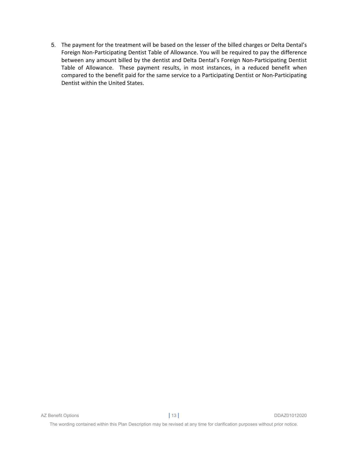5. The payment for the treatment will be based on the lesser of the billed charges or Delta Dental's Foreign Non‐Participating Dentist Table of Allowance. You will be required to pay the difference between any amount billed by the dentist and Delta Dental's Foreign Non‐Participating Dentist Table of Allowance. These payment results, in most instances, in a reduced benefit when compared to the benefit paid for the same service to a Participating Dentist or Non‐Participating Dentist within the United States.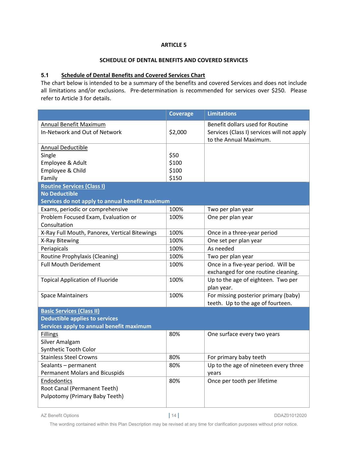#### **SCHEDULE OF DENTAL BENEFITS AND COVERED SERVICES**

#### **5.1 Schedule of Dental Benefits and Covered Services Chart**

The chart below is intended to be a summary of the benefits and covered Services and does not include all limitations and/or exclusions. Pre-determination is recommended for services over \$250. Please refer to Article 3 for details.

|                                                                | <b>Coverage</b> | <b>Limitations</b>                                                                                       |
|----------------------------------------------------------------|-----------------|----------------------------------------------------------------------------------------------------------|
| <b>Annual Benefit Maximum</b><br>In-Network and Out of Network | \$2,000         | Benefit dollars used for Routine<br>Services (Class I) services will not apply<br>to the Annual Maximum. |
| <b>Annual Deductible</b>                                       |                 |                                                                                                          |
| Single                                                         | \$50            |                                                                                                          |
| Employee & Adult                                               | \$100           |                                                                                                          |
| Employee & Child                                               | \$100           |                                                                                                          |
| Family                                                         | \$150           |                                                                                                          |
| <b>Routine Services (Class I)</b>                              |                 |                                                                                                          |
| <b>No Deductible</b>                                           |                 |                                                                                                          |
| Services do not apply to annual benefit maximum                |                 |                                                                                                          |
| Exams, periodic or comprehensive                               | 100%            | Two per plan year                                                                                        |
| Problem Focused Exam, Evaluation or<br>Consultation            | 100%            | One per plan year                                                                                        |
| X-Ray Full Mouth, Panorex, Vertical Bitewings                  | 100%            | Once in a three-year period                                                                              |
| X-Ray Bitewing                                                 | 100%            | One set per plan year                                                                                    |
| Periapicals                                                    | 100%            | As needed                                                                                                |
| Routine Prophylaxis (Cleaning)                                 | 100%            | Two per plan year                                                                                        |
| <b>Full Mouth Deridement</b>                                   | 100%            | Once in a five-year period. Will be                                                                      |
|                                                                |                 | exchanged for one routine cleaning.                                                                      |
| <b>Topical Application of Fluoride</b>                         | 100%            | Up to the age of eighteen. Two per<br>plan year.                                                         |
| <b>Space Maintainers</b>                                       | 100%            | For missing posterior primary (baby)<br>teeth. Up to the age of fourteen.                                |
| <b>Basic Services (Class II)</b>                               |                 |                                                                                                          |
| <b>Deductible applies to services</b>                          |                 |                                                                                                          |
| Services apply to annual benefit maximum                       |                 |                                                                                                          |
| <b>Fillings</b>                                                | 80%             | One surface every two years                                                                              |
| Silver Amalgam                                                 |                 |                                                                                                          |
| Synthetic Tooth Color                                          |                 |                                                                                                          |
| <b>Stainless Steel Crowns</b>                                  | 80%             | For primary baby teeth                                                                                   |
| Sealants - permanent                                           | 80%             | Up to the age of nineteen every three                                                                    |
| <b>Permanent Molars and Bicuspids</b>                          |                 | vears                                                                                                    |
| Endodontics                                                    | 80%             | Once per tooth per lifetime                                                                              |
| Root Canal (Permanent Teeth)                                   |                 |                                                                                                          |
| Pulpotomy (Primary Baby Teeth)                                 |                 |                                                                                                          |
|                                                                |                 |                                                                                                          |

AZ Benefit Options **|** 14 **|** DDAZ01012020

The wording contained within this Plan Description may be revised at any time for clarification purposes without prior notice.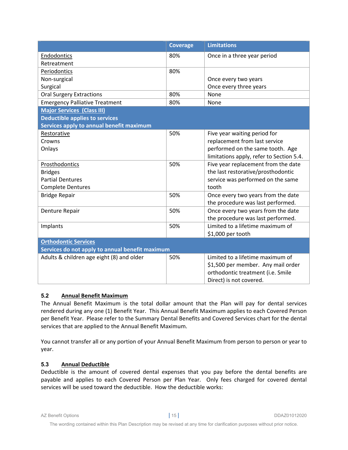|                                                 | <b>Coverage</b> | <b>Limitations</b>                       |
|-------------------------------------------------|-----------------|------------------------------------------|
| Endodontics                                     | 80%             | Once in a three year period              |
| Retreatment                                     |                 |                                          |
| Periodontics                                    | 80%             |                                          |
| Non-surgical                                    |                 | Once every two years                     |
| Surgical                                        |                 | Once every three years                   |
| <b>Oral Surgery Extractions</b>                 | 80%             | None                                     |
| <b>Emergency Palliative Treatment</b>           | 80%             | None                                     |
| <b>Major Services (Class III)</b>               |                 |                                          |
| <b>Deductible applies to services</b>           |                 |                                          |
| Services apply to annual benefit maximum        |                 |                                          |
| Restorative                                     | 50%             | Five year waiting period for             |
| Crowns                                          |                 | replacement from last service            |
| Onlays                                          |                 | performed on the same tooth. Age         |
|                                                 |                 | limitations apply, refer to Section 5.4. |
| Prosthodontics                                  | 50%             | Five year replacement from the date      |
| <b>Bridges</b>                                  |                 | the last restorative/prosthodontic       |
| <b>Partial Dentures</b>                         |                 | service was performed on the same        |
| <b>Complete Dentures</b>                        |                 | tooth                                    |
| <b>Bridge Repair</b>                            | 50%             | Once every two years from the date       |
|                                                 |                 | the procedure was last performed.        |
| Denture Repair                                  | 50%             | Once every two years from the date       |
|                                                 |                 | the procedure was last performed.        |
| Implants                                        | 50%             | Limited to a lifetime maximum of         |
|                                                 |                 | \$1,000 per tooth                        |
| <b>Orthodontic Services</b>                     |                 |                                          |
| Services do not apply to annual benefit maximum |                 |                                          |
| Adults & children age eight (8) and older       | 50%             | Limited to a lifetime maximum of         |
|                                                 |                 | \$1,500 per member. Any mail order       |
|                                                 |                 | orthodontic treatment (i.e. Smile        |
|                                                 |                 | Direct) is not covered.                  |

# **5.2 Annual Benefit Maximum**

The Annual Benefit Maximum is the total dollar amount that the Plan will pay for dental services rendered during any one (1) Benefit Year. This Annual Benefit Maximum applies to each Covered Person per Benefit Year. Please refer to the Summary Dental Benefits and Covered Services chart for the dental services that are applied to the Annual Benefit Maximum.

You cannot transfer all or any portion of your Annual Benefit Maximum from person to person or year to year.

# **5.3 Annual Deductible**

Deductible is the amount of covered dental expenses that you pay before the dental benefits are payable and applies to each Covered Person per Plan Year. Only fees charged for covered dental services will be used toward the deductible. How the deductible works: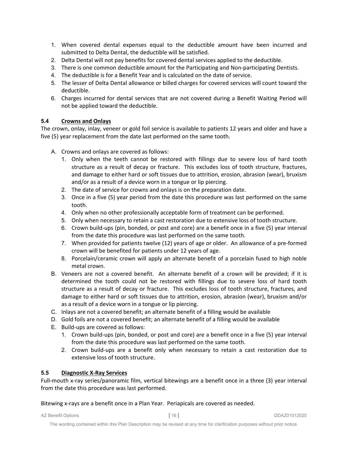- 1. When covered dental expenses equal to the deductible amount have been incurred and submitted to Delta Dental, the deductible will be satisfied.
- 2. Delta Dental will not pay benefits for covered dental services applied to the deductible.
- 3. There is one common deductible amount for the Participating and Non-participating Dentists.
- 4. The deductible is for a Benefit Year and is calculated on the date of service.
- 5. The lesser of Delta Dental allowance or billed charges for covered services will count toward the deductible.
- 6. Charges incurred for dental services that are not covered during a Benefit Waiting Period will not be applied toward the deductible.

# **5.4 Crowns and Onlays**

The crown, onlay, inlay, veneer or gold foil service is available to patients 12 years and older and have a five (5) year replacement from the date last performed on the same tooth.

- A. Crowns and onlays are covered as follows:
	- 1. Only when the teeth cannot be restored with fillings due to severe loss of hard tooth structure as a result of decay or fracture. This excludes loss of tooth structure, fractures, and damage to either hard or soft tissues due to attrition, erosion, abrasion (wear), bruxism and/or as a result of a device worn in a tongue or lip piercing.
	- 2. The date of service for crowns and onlays is on the preparation date.
	- 3. Once in a five (5) year period from the date this procedure was last performed on the same tooth.
	- 4. Only when no other professionally acceptable form of treatment can be performed.
	- 5. Only when necessary to retain a cast restoration due to extensive loss of tooth structure.
	- 6. Crown build‐ups (pin, bonded, or post and core) are a benefit once in a five (5) year interval from the date this procedure was last performed on the same tooth.
	- 7. When provided for patients twelve (12) years of age or older. An allowance of a pre-formed crown will be benefited for patients under 12 years of age.
	- 8. Porcelain/ceramic crown will apply an alternate benefit of a porcelain fused to high noble metal crown.
- B. Veneers are not a covered benefit. An alternate benefit of a crown will be provided; if it is determined the tooth could not be restored with fillings due to severe loss of hard tooth structure as a result of decay or fracture. This excludes loss of tooth structure, fractures, and damage to either hard or soft tissues due to attrition, erosion, abrasion (wear), bruxism and/or as a result of a device worn in a tongue or lip piercing.
- C. Inlays are not a covered benefit; an alternate benefit of a filling would be available
- D. Gold foils are not a covered benefit; an alternate benefit of a filling would be available
- E. Build‐ups are covered as follows:
	- 1. Crown build-ups (pin, bonded, or post and core) are a benefit once in a five (5) year interval from the date this procedure was last performed on the same tooth.
	- 2. Crown build-ups are a benefit only when necessary to retain a cast restoration due to extensive loss of tooth structure.

# **5.5 Diagnostic X‐Ray Services**

Full‐mouth x‐ray series/panoramic film, vertical bitewings are a benefit once in a three (3) year interval from the date this procedure was last performed.

Bitewing x‐rays are a benefit once in a Plan Year. Periapicals are covered as needed.

AZ Benefit Options **|** 16 **|** DDAZ01012020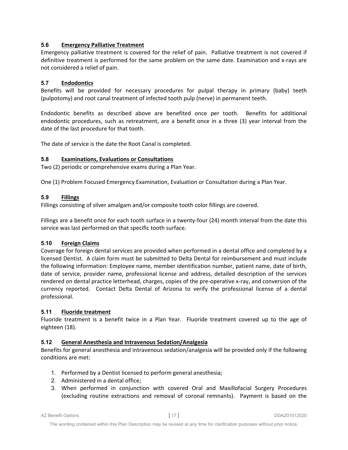# **5.6 Emergency Palliative Treatment**

Emergency palliative treatment is covered for the relief of pain. Palliative treatment is not covered if definitive treatment is performed for the same problem on the same date. Examination and x-rays are not considered a relief of pain.

# **5.7 Endodontics**

Benefits will be provided for necessary procedures for pulpal therapy in primary (baby) teeth (pulpotomy) and root canal treatment of infected tooth pulp (nerve) in permanent teeth.

Endodontic benefits as described above are benefited once per tooth. Benefits for additional endodontic procedures, such as retreatment, are a benefit once in a three (3) year interval from the date of the last procedure for that tooth.

The date of service is the date the Root Canal is completed.

# **5.8 Examinations, Evaluations or Consultations**

Two (2) periodic or comprehensive exams during a Plan Year.

One (1) Problem Focused Emergency Examination, Evaluation or Consultation during a Plan Year.

# **5.9 Fillings**

Fillings consisting of silver amalgam and/or composite tooth color fillings are covered.

Fillings are a benefit once for each tooth surface in a twenty-four (24) month interval from the date this service was last performed on that specific tooth surface.

# **5.10 Foreign Claims**

Coverage for foreign dental services are provided when performed in a dental office and completed by a licensed Dentist. A claim form must be submitted to Delta Dental for reimbursement and must include the following information: Employee name, member identification number, patient name, date of birth, date of service, provider name, professional license and address, detailed description of the services rendered on dental practice letterhead, charges, copies of the pre-operative x-ray, and conversion of the currency reported. Contact Delta Dental of Arizona to verify the professional license of a dental professional.

# **5.11 Fluoride treatment**

Fluoride treatment is a benefit twice in a Plan Year. Fluoride treatment covered up to the age of eighteen (18).

# **5.12 General Anesthesia and Intravenous Sedation/Analgesia**

Benefits for general anesthesia and intravenous sedation/analgesia will be provided only if the following conditions are met:

- 1. Performed by a Dentist licensed to perform general anesthesia;
- 2. Administered in a dental office;
- 3. When performed in conjunction with covered Oral and Maxillofacial Surgery Procedures (excluding routine extractions and removal of coronal remnants). Payment is based on the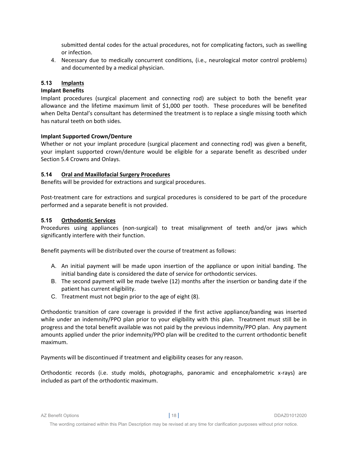submitted dental codes for the actual procedures, not for complicating factors, such as swelling or infection.

4. Necessary due to medically concurrent conditions, (i.e., neurological motor control problems) and documented by a medical physician.

# **5.13 Implants**

# **Implant Benefits**

Implant procedures (surgical placement and connecting rod) are subject to both the benefit year allowance and the lifetime maximum limit of \$1,000 per tooth. These procedures will be benefited when Delta Dental's consultant has determined the treatment is to replace a single missing tooth which has natural teeth on both sides.

# **Implant Supported Crown/Denture**

Whether or not your implant procedure (surgical placement and connecting rod) was given a benefit, your implant supported crown/denture would be eligible for a separate benefit as described under Section 5.4 Crowns and Onlays.

# **5.14 Oral and Maxillofacial Surgery Procedures**

Benefits will be provided for extractions and surgical procedures.

Post-treatment care for extractions and surgical procedures is considered to be part of the procedure performed and a separate benefit is not provided.

# **5.15 Orthodontic Services**

Procedures using appliances (non‐surgical) to treat misalignment of teeth and/or jaws which significantly interfere with their function.

Benefit payments will be distributed over the course of treatment as follows:

- A. An initial payment will be made upon insertion of the appliance or upon initial banding. The initial banding date is considered the date of service for orthodontic services.
- B. The second payment will be made twelve (12) months after the insertion or banding date if the patient has current eligibility.
- C. Treatment must not begin prior to the age of eight (8).

Orthodontic transition of care coverage is provided if the first active appliance/banding was inserted while under an indemnity/PPO plan prior to your eligibility with this plan. Treatment must still be in progress and the total benefit available was not paid by the previous indemnity/PPO plan. Any payment amounts applied under the prior indemnity/PPO plan will be credited to the current orthodontic benefit maximum.

Payments will be discontinued if treatment and eligibility ceases for any reason.

Orthodontic records (i.e. study molds, photographs, panoramic and encephalometric x‐rays) are included as part of the orthodontic maximum.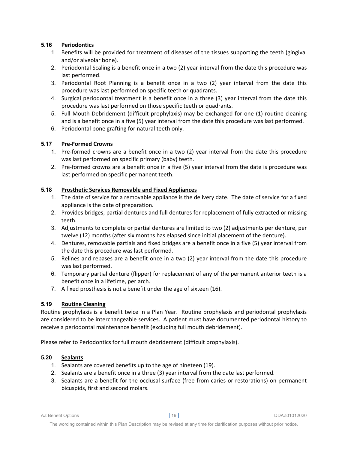# **5.16 Periodontics**

- 1. Benefits will be provided for treatment of diseases of the tissues supporting the teeth (gingival and/or alveolar bone).
- 2. Periodontal Scaling is a benefit once in a two (2) year interval from the date this procedure was last performed.
- 3. Periodontal Root Planning is a benefit once in a two (2) year interval from the date this procedure was last performed on specific teeth or quadrants.
- 4. Surgical periodontal treatment is a benefit once in a three (3) year interval from the date this procedure was last performed on those specific teeth or quadrants.
- 5. Full Mouth Debridement (difficult prophylaxis) may be exchanged for one (1) routine cleaning and is a benefit once in a five (5) year interval from the date this procedure was last performed.
- 6. Periodontal bone grafting for natural teeth only.

# **5.17 Pre‐Formed Crowns**

- 1. Pre-formed crowns are a benefit once in a two (2) year interval from the date this procedure was last performed on specific primary (baby) teeth.
- 2. Pre-formed crowns are a benefit once in a five (5) year interval from the date is procedure was last performed on specific permanent teeth.

# **5.18 Prosthetic Services Removable and Fixed Appliances**

- 1. The date of service for a removable appliance is the delivery date. The date of service for a fixed appliance is the date of preparation.
- 2. Provides bridges, partial dentures and full dentures for replacement of fully extracted or missing teeth.
- 3. Adjustments to complete or partial dentures are limited to two (2) adjustments per denture, per twelve (12) months (after six months has elapsed since initial placement of the denture).
- 4. Dentures, removable partials and fixed bridges are a benefit once in a five (5) year interval from the date this procedure was last performed.
- 5. Relines and rebases are a benefit once in a two (2) year interval from the date this procedure was last performed.
- 6. Temporary partial denture (flipper) for replacement of any of the permanent anterior teeth is a benefit once in a lifetime, per arch.
- 7. A fixed prosthesis is not a benefit under the age of sixteen (16).

# **5.19 Routine Cleaning**

Routine prophylaxis is a benefit twice in a Plan Year. Routine prophylaxis and periodontal prophylaxis are considered to be interchangeable services. A patient must have documented periodontal history to receive a periodontal maintenance benefit (excluding full mouth debridement).

Please refer to Periodontics for full mouth debridement (difficult prophylaxis).

# **5.20 Sealants**

- 1. Sealants are covered benefits up to the age of nineteen (19).
- 2. Sealants are a benefit once in a three (3) year interval from the date last performed.
- 3. Sealants are a benefit for the occlusal surface (free from caries or restorations) on permanent bicuspids, first and second molars.

AZ Benefit Options **|** 19 **|** DDAZ01012020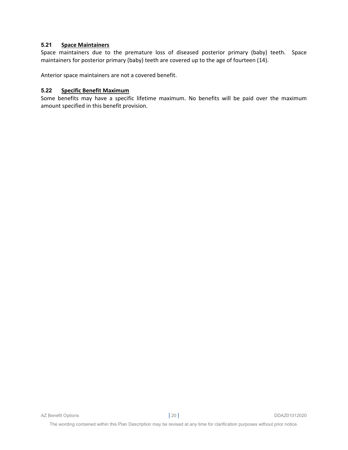# **5.21 Space Maintainers**

Space maintainers due to the premature loss of diseased posterior primary (baby) teeth. Space maintainers for posterior primary (baby) teeth are covered up to the age of fourteen (14).

Anterior space maintainers are not a covered benefit.

#### **5.22 Specific Benefit Maximum**

Some benefits may have a specific lifetime maximum. No benefits will be paid over the maximum amount specified in this benefit provision.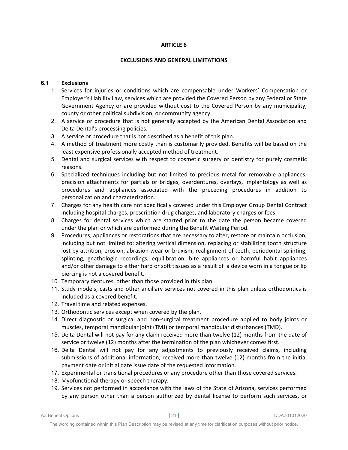#### **EXCLUSIONS AND GENERAL LIMITATIONS**

# **6.1 Exclusions**

- 1. Services for injuries or conditions which are compensable under Workers' Compensation or Employer's Liability Law, services which are provided the Covered Person by any Federal or State Government Agency or are provided without cost to the Covered Person by any municipality, county or other political subdivision, or community agency.
- 2. A service or procedure that is not generally accepted by the American Dental Association and Delta Dental's processing policies.
- 3. A service or procedure that is not described as a benefit of this plan.
- 4. A method of treatment more costly than is customarily provided. Benefits will be based on the least expensive professionally accepted method of treatment.
- 5. Dental and surgical services with respect to cosmetic surgery or dentistry for purely cosmetic reasons.
- 6. Specialized techniques including but not limited to precious metal for removable appliances, precision attachments for partials or bridges, overdentures, overlays, implantology as well as procedures and appliances associated with the preceding procedures in addition to personalization and characterization.
- 7. Charges for any health care not specifically covered under this Employer Group Dental Contract including hospital charges, prescription drug charges, and laboratory charges or fees.
- 8. Charges for dental services which are started prior to the date the person became covered under the plan or which are performed during the Benefit Waiting Period.
- 9. Procedures, appliances or restorations that are necessary to alter, restore or maintain occlusion, including but not limited to: altering vertical dimension, replacing or stabilizing tooth structure lost by attrition, erosion, abrasion wear or bruxism, realignment of teeth, periodontal splinting, splinting, gnathologic recordings, equilibration, bite appliances or harmful habit appliances and/or other damage to either hard or soft tissues as a result of a device worn in a tongue or lip piercing is not a covered benefit.
- 10. Temporary dentures, other than those provided in this plan.
- 11. Study models, casts and other ancillary services not covered in this plan unless orthodontics is included as a covered benefit.
- 12. Travel time and related expenses.
- 13. Orthodontic services except when covered by the plan.
- 14. Direct diagnostic or surgical and non‐surgical treatment procedure applied to body joints or muscles, temporal mandibular joint (TMJ) or temporal mandibular disturbances (TMD).
- 15. Delta Dental will not pay for any claim received more than twelve (12) months from the date of service or twelve (12) months after the termination of the plan whichever comes first.
- 16. Delta Dental will not pay for any adjustments to previously received claims, including submissions of additional information, received more than twelve (12) months from the initial payment date or initial date issue date of the requested information.
- 17. Experimental or transitional procedures or any procedure other than those covered services.
- 18. Myofunctional therapy or speech therapy.
- 19. Services not performed in accordance with the laws of the State of Arizona, services performed by any person other than a person authorized by dental license to perform such services, or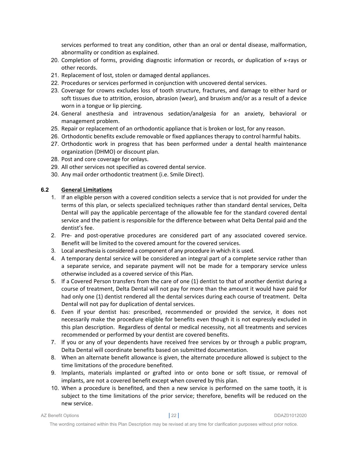services performed to treat any condition, other than an oral or dental disease, malformation, abnormality or condition as explained.

- 20. Completion of forms, providing diagnostic information or records, or duplication of x‐rays or other records.
- 21. Replacement of lost, stolen or damaged dental appliances.
- 22. Procedures or services performed in conjunction with uncovered dental services.
- 23. Coverage for crowns excludes loss of tooth structure, fractures, and damage to either hard or soft tissues due to attrition, erosion, abrasion (wear), and bruxism and/or as a result of a device worn in a tongue or lip piercing.
- 24. General anesthesia and intravenous sedation/analgesia for an anxiety, behavioral or management problem.
- 25. Repair or replacement of an orthodontic appliance that is broken or lost, for any reason.
- 26. Orthodontic benefits exclude removable or fixed appliances therapy to control harmful habits.
- 27. Orthodontic work in progress that has been performed under a dental health maintenance organization (DHMO) or discount plan.
- 28. Post and core coverage for onlays.
- 29. All other services not specified as covered dental service.
- 30. Any mail order orthodontic treatment (i.e. Smile Direct).

# **6.2 General Limitations**

- 1. If an eligible person with a covered condition selects a service that is not provided for under the terms of this plan, or selects specialized techniques rather than standard dental services, Delta Dental will pay the applicable percentage of the allowable fee for the standard covered dental service and the patient is responsible for the difference between what Delta Dental paid and the dentist's fee.
- 2. Pre‐ and post‐operative procedures are considered part of any associated covered service. Benefit will be limited to the covered amount for the covered services.
- 3. Local anesthesia is considered a component of any procedure in which it is used.
- 4. A temporary dental service will be considered an integral part of a complete service rather than a separate service, and separate payment will not be made for a temporary service unless otherwise included as a covered service of this Plan.
- 5. If a Covered Person transfers from the care of one (1) dentist to that of another dentist during a course of treatment, Delta Dental will not pay for more than the amount it would have paid for had only one (1) dentist rendered all the dental services during each course of treatment. Delta Dental will not pay for duplication of dental services.
- 6. Even if your dentist has: prescribed, recommended or provided the service, it does not necessarily make the procedure eligible for benefits even though it is not expressly excluded in this plan description. Regardless of dental or medical necessity, not all treatments and services recommended or performed by your dentist are covered benefits.
- 7. If you or any of your dependents have received free services by or through a public program, Delta Dental will coordinate benefits based on submitted documentation.
- 8. When an alternate benefit allowance is given, the alternate procedure allowed is subject to the time limitations of the procedure benefited.
- 9. Implants, materials implanted or grafted into or onto bone or soft tissue, or removal of implants, are not a covered benefit except when covered by this plan.
- 10. When a procedure is benefited, and then a new service is performed on the same tooth, it is subject to the time limitations of the prior service; therefore, benefits will be reduced on the new service.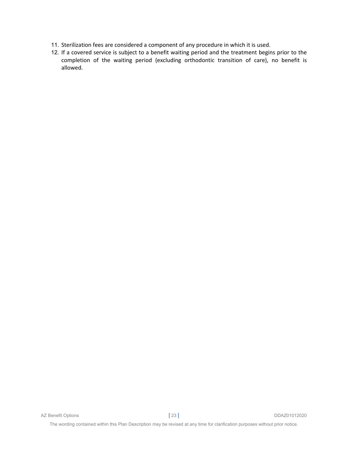- 11. Sterilization fees are considered a component of any procedure in which it is used.
- 12. If a covered service is subject to a benefit waiting period and the treatment begins prior to the completion of the waiting period (excluding orthodontic transition of care), no benefit is allowed.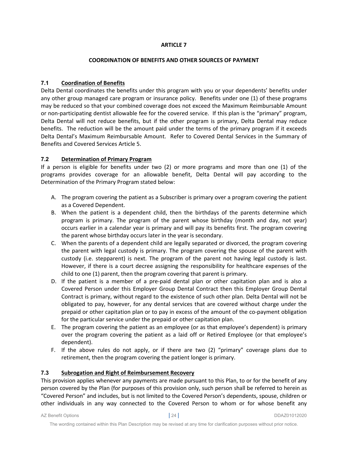# **COORDINATION OF BENEFITS AND OTHER SOURCES OF PAYMENT**

# **7.1 Coordination of Benefits**

Delta Dental coordinates the benefits under this program with you or your dependents' benefits under any other group managed care program or insurance policy. Benefits under one (1) of these programs may be reduced so that your combined coverage does not exceed the Maximum Reimbursable Amount or non-participating dentist allowable fee for the covered service. If this plan is the "primary" program, Delta Dental will not reduce benefits, but if the other program is primary, Delta Dental may reduce benefits. The reduction will be the amount paid under the terms of the primary program if it exceeds Delta Dental's Maximum Reimbursable Amount. Refer to Covered Dental Services in the Summary of Benefits and Covered Services Article 5.

# **7.2 Determination of Primary Program**

If a person is eligible for benefits under two (2) or more programs and more than one (1) of the programs provides coverage for an allowable benefit, Delta Dental will pay according to the Determination of the Primary Program stated below:

- A. The program covering the patient as a Subscriber is primary over a program covering the patient as a Covered Dependent.
- B. When the patient is a dependent child, then the birthdays of the parents determine which program is primary. The program of the parent whose birthday (month and day, not year) occurs earlier in a calendar year is primary and will pay its benefits first. The program covering the parent whose birthday occurs later in the year is secondary.
- C. When the parents of a dependent child are legally separated or divorced, the program covering the parent with legal custody is primary. The program covering the spouse of the parent with custody (i.e. stepparent) is next. The program of the parent not having legal custody is last. However, if there is a court decree assigning the responsibility for healthcare expenses of the child to one (1) parent, then the program covering that parent is primary.
- D. If the patient is a member of a pre-paid dental plan or other capitation plan and is also a Covered Person under this Employer Group Dental Contract then this Employer Group Dental Contract is primary, without regard to the existence of such other plan. Delta Dental will not be obligated to pay, however, for any dental services that are covered without charge under the prepaid or other capitation plan or to pay in excess of the amount of the co-payment obligation for the particular service under the prepaid or other capitation plan.
- E. The program covering the patient as an employee (or as that employee's dependent) is primary over the program covering the patient as a laid off or Retired Employee (or that employee's dependent).
- F. If the above rules do not apply, or if there are two (2) "primary" coverage plans due to retirement, then the program covering the patient longer is primary.

# **7.3 Subrogation and Right of Reimbursement Recovery**

This provision applies whenever any payments are made pursuant to this Plan, to or for the benefit of any person covered by the Plan (for purposes of this provision only, such person shall be referred to herein as "Covered Person" and includes, but is not limited to the Covered Person's dependents, spouse, children or other individuals in any way connected to the Covered Person to whom or for whose benefit any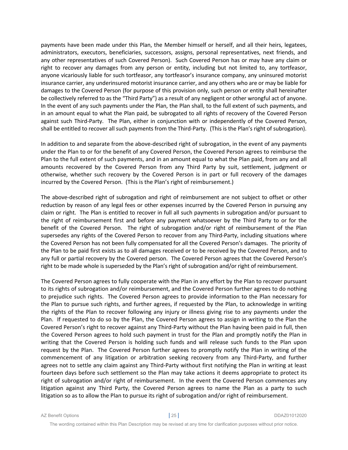payments have been made under this Plan, the Member himself or herself, and all their heirs, legatees, administrators, executors, beneficiaries, successors, assigns, personal representatives, next friends, and any other representatives of such Covered Person). Such Covered Person has or may have any claim or right to recover any damages from any person or entity, including but not limited to, any tortfeasor, anyone vicariously liable for such tortfeasor, any tortfeasor's insurance company, any uninsured motorist insurance carrier, any underinsured motorist insurance carrier, and any others who are or may be liable for damages to the Covered Person (for purpose of this provision only, such person or entity shall hereinafter be collectively referred to as the "Third Party") as a result of any negligent or other wrongful act of anyone. In the event of any such payments under the Plan, the Plan shall, to the full extent of such payments, and in an amount equal to what the Plan paid, be subrogated to all rights of recovery of the Covered Person against such Third-Party. The Plan, either in conjunction with or independently of the Covered Person, shall be entitled to recover all such payments from the Third-Party. (This is the Plan's right of subrogation).

In addition to and separate from the above-described right of subrogation, in the event of any payments under the Plan to or for the benefit of any Covered Person, the Covered Person agrees to reimburse the Plan to the full extent of such payments, and in an amount equal to what the Plan paid, from any and all amounts recovered by the Covered Person from any Third Party by suit, settlement, judgment or otherwise, whether such recovery by the Covered Person is in part or full recovery of the damages incurred by the Covered Person. (This is the Plan's right of reimbursement.)

The above-described right of subrogation and right of reimbursement are not subject to offset or other reduction by reason of any legal fees or other expenses incurred by the Covered Person in pursuing any claim or right. The Plan is entitled to recover in full all such payments in subrogation and/or pursuant to the right of reimbursement first and before any payment whatsoever by the Third Party to or for the benefit of the Covered Person. The right of subrogation and/or right of reimbursement of the Plan supersedes any rights of the Covered Person to recover from any Third-Party, including situations where the Covered Person has not been fully compensated for all the Covered Person's damages. The priority of the Plan to be paid first exists as to all damages received or to be received by the Covered Person, and to any full or partial recovery by the Covered person. The Covered Person agrees that the Covered Person's right to be made whole is superseded by the Plan's right of subrogation and/or right of reimbursement.

The Covered Person agrees to fully cooperate with the Plan in any effort by the Plan to recover pursuant to its rights of subrogation and/or reimbursement, and the Covered Person further agrees to do nothing to prejudice such rights. The Covered Person agrees to provide information to the Plan necessary for the Plan to pursue such rights, and further agrees, if requested by the Plan, to acknowledge in writing the rights of the Plan to recover following any injury or illness giving rise to any payments under the Plan. If requested to do so by the Plan, the Covered Person agrees to assign in writing to the Plan the Covered Person's right to recover against any Third-Party without the Plan having been paid in full, then the Covered Person agrees to hold such payment in trust for the Plan and promptly notify the Plan in writing that the Covered Person is holding such funds and will release such funds to the Plan upon request by the Plan. The Covered Person further agrees to promptly notify the Plan in writing of the commencement of any litigation or arbitration seeking recovery from any Third-Party, and further agrees not to settle any claim against any Third‐Party without first notifying the Plan in writing at least fourteen days before such settlement so the Plan may take actions it deems appropriate to protect its right of subrogation and/or right of reimbursement. In the event the Covered Person commences any litigation against any Third Party, the Covered Person agrees to name the Plan as a party to such litigation so as to allow the Plan to pursue its right of subrogation and/or right of reimbursement.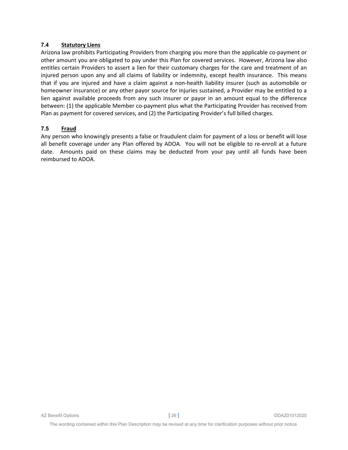# **7.4 Statutory Liens**

Arizona law prohibits Participating Providers from charging you more than the applicable co‐payment or other amount you are obligated to pay under this Plan for covered services. However, Arizona law also entitles certain Providers to assert a lien for their customary charges for the care and treatment of an injured person upon any and all claims of liability or indemnity, except health insurance. This means that if you are injured and have a claim against a non-health liability insurer (such as automobile or homeowner insurance) or any other payor source for injuries sustained, a Provider may be entitled to a lien against available proceeds from any such insurer or payor in an amount equal to the difference between: (1) the applicable Member co-payment plus what the Participating Provider has received from Plan as payment for covered services, and (2) the Participating Provider's full billed charges.

#### **7.5 Fraud**

Any person who knowingly presents a false or fraudulent claim for payment of a loss or benefit will lose all benefit coverage under any Plan offered by ADOA. You will not be eligible to re‐enroll at a future date. Amounts paid on these claims may be deducted from your pay until all funds have been reimbursed to ADOA.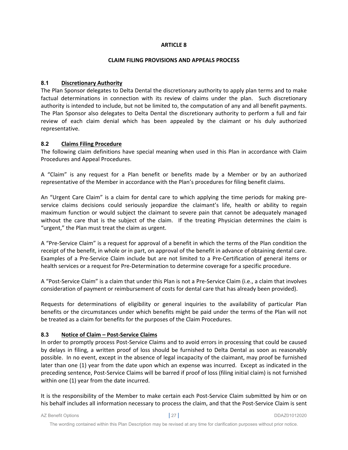#### **CLAIM FILING PROVISIONS AND APPEALS PROCESS**

# **8.1 Discretionary Authority**

The Plan Sponsor delegates to Delta Dental the discretionary authority to apply plan terms and to make factual determinations in connection with its review of claims under the plan. Such discretionary authority is intended to include, but not be limited to, the computation of any and all benefit payments. The Plan Sponsor also delegates to Delta Dental the discretionary authority to perform a full and fair review of each claim denial which has been appealed by the claimant or his duly authorized representative.

# **8.2 Claims Filing Procedure**

The following claim definitions have special meaning when used in this Plan in accordance with Claim Procedures and Appeal Procedures.

A "Claim" is any request for a Plan benefit or benefits made by a Member or by an authorized representative of the Member in accordance with the Plan's procedures for filing benefit claims.

An "Urgent Care Claim" is a claim for dental care to which applying the time periods for making pre‐ service claims decisions could seriously jeopardize the claimant's life, health or ability to regain maximum function or would subject the claimant to severe pain that cannot be adequately managed without the care that is the subject of the claim. If the treating Physician determines the claim is "urgent," the Plan must treat the claim as urgent.

A "Pre‐Service Claim" is a request for approval of a benefit in which the terms of the Plan condition the receipt of the benefit, in whole or in part, on approval of the benefit in advance of obtaining dental care. Examples of a Pre-Service Claim include but are not limited to a Pre-Certification of general items or health services or a request for Pre‐Determination to determine coverage for a specific procedure.

A "Post‐Service Claim" is a claim that under this Plan is not a Pre‐Service Claim (i.e., a claim that involves consideration of payment or reimbursement of costs for dental care that has already been provided).

Requests for determinations of eligibility or general inquiries to the availability of particular Plan benefits or the circumstances under which benefits might be paid under the terms of the Plan will not be treated as a claim for benefits for the purposes of the Claim Procedures.

# **8.3 Notice of Claim – Post‐Service Claims**

In order to promptly process Post‐Service Claims and to avoid errors in processing that could be caused by delays in filing, a written proof of loss should be furnished to Delta Dental as soon as reasonably possible. In no event, except in the absence of legal incapacity of the claimant, may proof be furnished later than one (1) year from the date upon which an expense was incurred. Except as indicated in the preceding sentence, Post‐Service Claims will be barred if proof of loss (filing initial claim) is not furnished within one (1) year from the date incurred.

It is the responsibility of the Member to make certain each Post‐Service Claim submitted by him or on his behalf includes all information necessary to process the claim, and that the Post-Service Claim is sent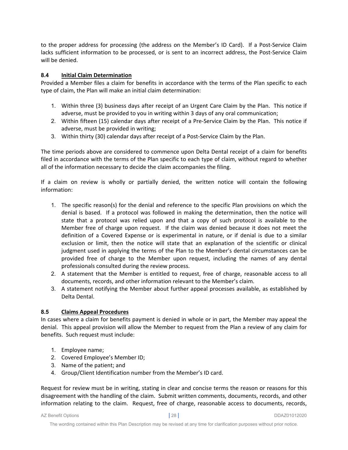to the proper address for processing (the address on the Member's ID Card). If a Post‐Service Claim lacks sufficient information to be processed, or is sent to an incorrect address, the Post‐Service Claim will be denied.

# **8.4 Initial Claim Determination**

Provided a Member files a claim for benefits in accordance with the terms of the Plan specific to each type of claim, the Plan will make an initial claim determination:

- 1. Within three (3) business days after receipt of an Urgent Care Claim by the Plan. This notice if adverse, must be provided to you in writing within 3 days of any oral communication;
- 2. Within fifteen (15) calendar days after receipt of a Pre‐Service Claim by the Plan. This notice if adverse, must be provided in writing;
- 3. Within thirty (30) calendar days after receipt of a Post‐Service Claim by the Plan.

The time periods above are considered to commence upon Delta Dental receipt of a claim for benefits filed in accordance with the terms of the Plan specific to each type of claim, without regard to whether all of the information necessary to decide the claim accompanies the filing.

If a claim on review is wholly or partially denied, the written notice will contain the following information:

- 1. The specific reason(s) for the denial and reference to the specific Plan provisions on which the denial is based. If a protocol was followed in making the determination, then the notice will state that a protocol was relied upon and that a copy of such protocol is available to the Member free of charge upon request. If the claim was denied because it does not meet the definition of a Covered Expense or is experimental in nature, or if denial is due to a similar exclusion or limit, then the notice will state that an explanation of the scientific or clinical judgment used in applying the terms of the Plan to the Member's dental circumstances can be provided free of charge to the Member upon request, including the names of any dental professionals consulted during the review process.
- 2. A statement that the Member is entitled to request, free of charge, reasonable access to all documents, records, and other information relevant to the Member's claim.
- 3. A statement notifying the Member about further appeal processes available, as established by Delta Dental.

# **8.5 Claims Appeal Procedures**

In cases where a claim for benefits payment is denied in whole or in part, the Member may appeal the denial. This appeal provision will allow the Member to request from the Plan a review of any claim for benefits. Such request must include:

- 1. Employee name;
- 2. Covered Employee's Member ID;
- 3. Name of the patient; and
- 4. Group/Client Identification number from the Member's ID card.

Request for review must be in writing, stating in clear and concise terms the reason or reasons for this disagreement with the handling of the claim. Submit written comments, documents, records, and other information relating to the claim. Request, free of charge, reasonable access to documents, records,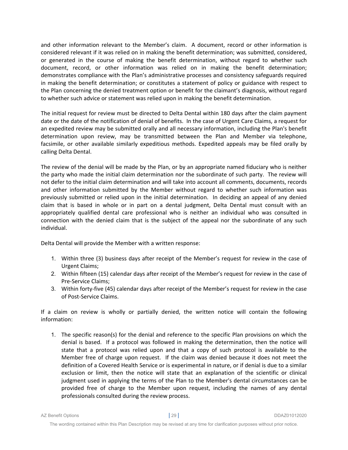and other information relevant to the Member's claim. A document, record or other information is considered relevant if it was relied on in making the benefit determination; was submitted, considered, or generated in the course of making the benefit determination, without regard to whether such document, record, or other information was relied on in making the benefit determination; demonstrates compliance with the Plan's administrative processes and consistency safeguards required in making the benefit determination; or constitutes a statement of policy or guidance with respect to the Plan concerning the denied treatment option or benefit for the claimant's diagnosis, without regard to whether such advice or statement was relied upon in making the benefit determination.

The initial request for review must be directed to Delta Dental within 180 days after the claim payment date or the date of the notification of denial of benefits. In the case of Urgent Care Claims, a request for an expedited review may be submitted orally and all necessary information, including the Plan's benefit determination upon review, may be transmitted between the Plan and Member via telephone, facsimile, or other available similarly expeditious methods. Expedited appeals may be filed orally by calling Delta Dental.

The review of the denial will be made by the Plan, or by an appropriate named fiduciary who is neither the party who made the initial claim determination nor the subordinate of such party. The review will not defer to the initial claim determination and will take into account all comments, documents, records and other information submitted by the Member without regard to whether such information was previously submitted or relied upon in the initial determination. In deciding an appeal of any denied claim that is based in whole or in part on a dental judgment, Delta Dental must consult with an appropriately qualified dental care professional who is neither an individual who was consulted in connection with the denied claim that is the subject of the appeal nor the subordinate of any such individual.

Delta Dental will provide the Member with a written response:

- 1. Within three (3) business days after receipt of the Member's request for review in the case of Urgent Claims;
- 2. Within fifteen (15) calendar days after receipt of the Member's request for review in the case of Pre‐Service Claims;
- 3. Within forty‐five (45) calendar days after receipt of the Member's request for review in the case of Post‐Service Claims.

If a claim on review is wholly or partially denied, the written notice will contain the following information:

1. The specific reason(s) for the denial and reference to the specific Plan provisions on which the denial is based. If a protocol was followed in making the determination, then the notice will state that a protocol was relied upon and that a copy of such protocol is available to the Member free of charge upon request. If the claim was denied because it does not meet the definition of a Covered Health Service or is experimental in nature, or if denial is due to a similar exclusion or limit, then the notice will state that an explanation of the scientific or clinical judgment used in applying the terms of the Plan to the Member's dental circumstances can be provided free of charge to the Member upon request, including the names of any dental professionals consulted during the review process.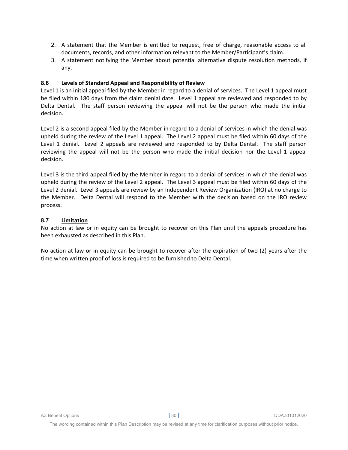- 2. A statement that the Member is entitled to request, free of charge, reasonable access to all documents, records, and other information relevant to the Member/Participant's claim.
- 3. A statement notifying the Member about potential alternative dispute resolution methods, if any.

# **8.6 Levels of Standard Appeal and Responsibility of Review**

Level 1 is an initial appeal filed by the Member in regard to a denial of services. The Level 1 appeal must be filed within 180 days from the claim denial date. Level 1 appeal are reviewed and responded to by Delta Dental. The staff person reviewing the appeal will not be the person who made the initial decision.

Level 2 is a second appeal filed by the Member in regard to a denial of services in which the denial was upheld during the review of the Level 1 appeal. The Level 2 appeal must be filed within 60 days of the Level 1 denial. Level 2 appeals are reviewed and responded to by Delta Dental. The staff person reviewing the appeal will not be the person who made the initial decision nor the Level 1 appeal decision.

Level 3 is the third appeal filed by the Member in regard to a denial of services in which the denial was upheld during the review of the Level 2 appeal. The Level 3 appeal must be filed within 60 days of the Level 2 denial. Level 3 appeals are review by an Independent Review Organization (IRO) at no charge to the Member. Delta Dental will respond to the Member with the decision based on the IRO review process.

# **8.7 Limitation**

No action at law or in equity can be brought to recover on this Plan until the appeals procedure has been exhausted as described in this Plan.

No action at law or in equity can be brought to recover after the expiration of two (2) years after the time when written proof of loss is required to be furnished to Delta Dental.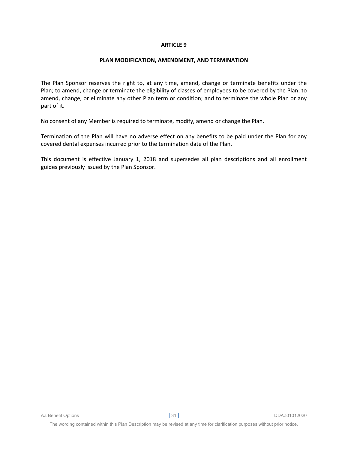#### **PLAN MODIFICATION, AMENDMENT, AND TERMINATION**

The Plan Sponsor reserves the right to, at any time, amend, change or terminate benefits under the Plan; to amend, change or terminate the eligibility of classes of employees to be covered by the Plan; to amend, change, or eliminate any other Plan term or condition; and to terminate the whole Plan or any part of it.

No consent of any Member is required to terminate, modify, amend or change the Plan.

Termination of the Plan will have no adverse effect on any benefits to be paid under the Plan for any covered dental expenses incurred prior to the termination date of the Plan.

This document is effective January 1, 2018 and supersedes all plan descriptions and all enrollment guides previously issued by the Plan Sponsor.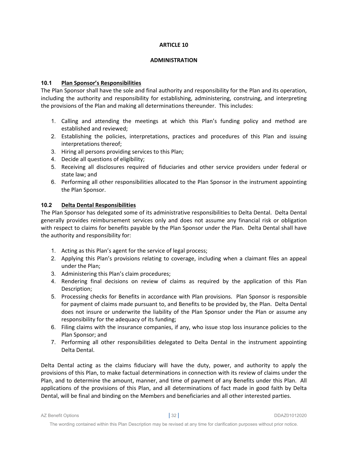#### **ADMINISTRATION**

# **10.1 Plan Sponsor's Responsibilities**

The Plan Sponsor shall have the sole and final authority and responsibility for the Plan and its operation, including the authority and responsibility for establishing, administering, construing, and interpreting the provisions of the Plan and making all determinations thereunder. This includes:

- 1. Calling and attending the meetings at which this Plan's funding policy and method are established and reviewed;
- 2. Establishing the policies, interpretations, practices and procedures of this Plan and issuing interpretations thereof;
- 3. Hiring all persons providing services to this Plan;
- 4. Decide all questions of eligibility;
- 5. Receiving all disclosures required of fiduciaries and other service providers under federal or state law; and
- 6. Performing all other responsibilities allocated to the Plan Sponsor in the instrument appointing the Plan Sponsor.

#### **10.2 Delta Dental Responsibilities**

The Plan Sponsor has delegated some of its administrative responsibilities to Delta Dental. Delta Dental generally provides reimbursement services only and does not assume any financial risk or obligation with respect to claims for benefits payable by the Plan Sponsor under the Plan. Delta Dental shall have the authority and responsibility for:

- 1. Acting as this Plan's agent for the service of legal process;
- 2. Applying this Plan's provisions relating to coverage, including when a claimant files an appeal under the Plan;
- 3. Administering this Plan's claim procedures;
- 4. Rendering final decisions on review of claims as required by the application of this Plan Description;
- 5. Processing checks for Benefits in accordance with Plan provisions. Plan Sponsor is responsible for payment of claims made pursuant to, and Benefits to be provided by, the Plan. Delta Dental does not insure or underwrite the liability of the Plan Sponsor under the Plan or assume any responsibility for the adequacy of its funding;
- 6. Filing claims with the insurance companies, if any, who issue stop loss insurance policies to the Plan Sponsor; and
- 7. Performing all other responsibilities delegated to Delta Dental in the instrument appointing Delta Dental.

Delta Dental acting as the claims fiduciary will have the duty, power, and authority to apply the provisions of this Plan, to make factual determinations in connection with its review of claims under the Plan, and to determine the amount, manner, and time of payment of any Benefits under this Plan. All applications of the provisions of this Plan, and all determinations of fact made in good faith by Delta Dental, will be final and binding on the Members and beneficiaries and all other interested parties.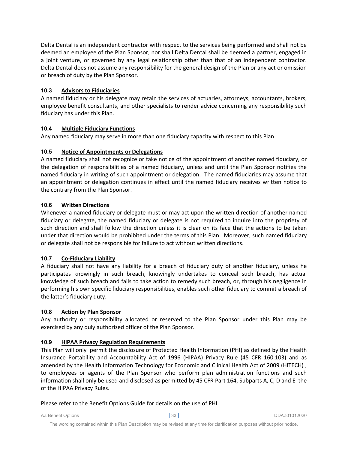Delta Dental is an independent contractor with respect to the services being performed and shall not be deemed an employee of the Plan Sponsor, nor shall Delta Dental shall be deemed a partner, engaged in a joint venture, or governed by any legal relationship other than that of an independent contractor. Delta Dental does not assume any responsibility for the general design of the Plan or any act or omission or breach of duty by the Plan Sponsor.

# **10.3 Advisors to Fiduciaries**

A named fiduciary or his delegate may retain the services of actuaries, attorneys, accountants, brokers, employee benefit consultants, and other specialists to render advice concerning any responsibility such fiduciary has under this Plan.

# **10.4 Multiple Fiduciary Functions**

Any named fiduciary may serve in more than one fiduciary capacity with respect to this Plan.

# **10.5 Notice of Appointments or Delegations**

A named fiduciary shall not recognize or take notice of the appointment of another named fiduciary, or the delegation of responsibilities of a named fiduciary, unless and until the Plan Sponsor notifies the named fiduciary in writing of such appointment or delegation. The named fiduciaries may assume that an appointment or delegation continues in effect until the named fiduciary receives written notice to the contrary from the Plan Sponsor.

# **10.6 Written Directions**

Whenever a named fiduciary or delegate must or may act upon the written direction of another named fiduciary or delegate, the named fiduciary or delegate is not required to inquire into the propriety of such direction and shall follow the direction unless it is clear on its face that the actions to be taken under that direction would be prohibited under the terms of this Plan. Moreover, such named fiduciary or delegate shall not be responsible for failure to act without written directions.

# **10.7 Co‐Fiduciary Liability**

A fiduciary shall not have any liability for a breach of fiduciary duty of another fiduciary, unless he participates knowingly in such breach, knowingly undertakes to conceal such breach, has actual knowledge of such breach and fails to take action to remedy such breach, or, through his negligence in performing his own specific fiduciary responsibilities, enables such other fiduciary to commit a breach of the latter's fiduciary duty.

# **10.8 Action by Plan Sponsor**

Any authority or responsibility allocated or reserved to the Plan Sponsor under this Plan may be exercised by any duly authorized officer of the Plan Sponsor.

# **10.9 HIPAA Privacy Regulation Requirements**

This Plan will only permit the disclosure of Protected Health Information (PHI) as defined by the Health Insurance Portability and Accountability Act of 1996 (HIPAA) Privacy Rule (45 CFR 160.103) and as amended by the Health Information Technology for Economic and Clinical Health Act of 2009 (HITECH) , to employees or agents of the Plan Sponsor who perform plan administration functions and such information shall only be used and disclosed as permitted by 45 CFR Part 164, Subparts A, C, D and E the of the HIPAA Privacy Rules.

Please refer to the Benefit Options Guide for details on the use of PHI.

AZ Benefit Options **|** 33 **|** DDAZ01012020

The wording contained within this Plan Description may be revised at any time for clarification purposes without prior notice.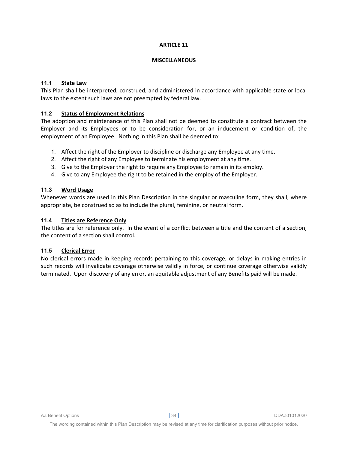#### **MISCELLANEOUS**

# **11.1 State Law**

This Plan shall be interpreted, construed, and administered in accordance with applicable state or local laws to the extent such laws are not preempted by federal law.

# **11.2 Status of Employment Relations**

The adoption and maintenance of this Plan shall not be deemed to constitute a contract between the Employer and its Employees or to be consideration for, or an inducement or condition of, the employment of an Employee. Nothing in this Plan shall be deemed to:

- 1. Affect the right of the Employer to discipline or discharge any Employee at any time.
- 2. Affect the right of any Employee to terminate his employment at any time.
- 3. Give to the Employer the right to require any Employee to remain in its employ.
- 4. Give to any Employee the right to be retained in the employ of the Employer.

#### **11.3 Word Usage**

Whenever words are used in this Plan Description in the singular or masculine form, they shall, where appropriate, be construed so as to include the plural, feminine, or neutral form.

# **11.4 Titles are Reference Only**

The titles are for reference only. In the event of a conflict between a title and the content of a section, the content of a section shall control.

# **11.5 Clerical Error**

No clerical errors made in keeping records pertaining to this coverage, or delays in making entries in such records will invalidate coverage otherwise validly in force, or continue coverage otherwise validly terminated. Upon discovery of any error, an equitable adjustment of any Benefits paid will be made.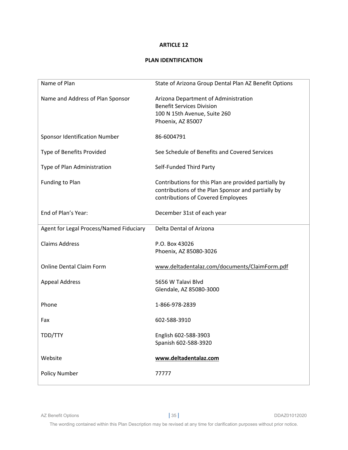# **PLAN IDENTIFICATION**

| Name of Plan                            | State of Arizona Group Dental Plan AZ Benefit Options                                                                                             |
|-----------------------------------------|---------------------------------------------------------------------------------------------------------------------------------------------------|
| Name and Address of Plan Sponsor        | Arizona Department of Administration<br><b>Benefit Services Division</b><br>100 N 15th Avenue, Suite 260                                          |
|                                         | Phoenix, AZ 85007                                                                                                                                 |
| Sponsor Identification Number           | 86-6004791                                                                                                                                        |
| Type of Benefits Provided               | See Schedule of Benefits and Covered Services                                                                                                     |
| Type of Plan Administration             | Self-Funded Third Party                                                                                                                           |
| Funding to Plan                         | Contributions for this Plan are provided partially by<br>contributions of the Plan Sponsor and partially by<br>contributions of Covered Employees |
| End of Plan's Year:                     | December 31st of each year                                                                                                                        |
| Agent for Legal Process/Named Fiduciary | Delta Dental of Arizona                                                                                                                           |
| <b>Claims Address</b>                   | P.O. Box 43026<br>Phoenix, AZ 85080-3026                                                                                                          |
| <b>Online Dental Claim Form</b>         | www.deltadentalaz.com/documents/ClaimForm.pdf                                                                                                     |
| <b>Appeal Address</b>                   | 5656 W Talavi Blvd<br>Glendale, AZ 85080-3000                                                                                                     |
| Phone                                   | 1-866-978-2839                                                                                                                                    |
| Fax                                     | 602-588-3910                                                                                                                                      |
| TDD/TTY                                 | English 602-588-3903<br>Spanish 602-588-3920                                                                                                      |
| Website                                 | www.deltadentalaz.com                                                                                                                             |
| <b>Policy Number</b>                    | 77777                                                                                                                                             |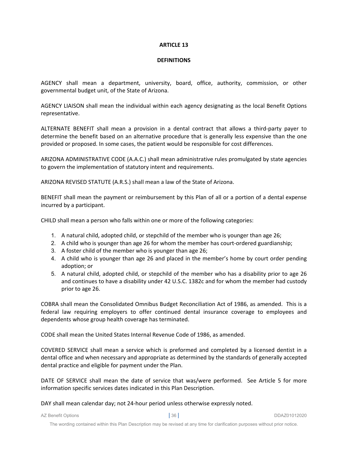#### **DEFINITIONS**

AGENCY shall mean a department, university, board, office, authority, commission, or other governmental budget unit, of the State of Arizona.

AGENCY LIAISON shall mean the individual within each agency designating as the local Benefit Options representative.

ALTERNATE BENEFIT shall mean a provision in a dental contract that allows a third‐party payer to determine the benefit based on an alternative procedure that is generally less expensive than the one provided or proposed. In some cases, the patient would be responsible for cost differences.

ARIZONA ADMINISTRATIVE CODE (A.A.C.) shall mean administrative rules promulgated by state agencies to govern the implementation of statutory intent and requirements.

ARIZONA REVISED STATUTE (A.R.S.) shall mean a law of the State of Arizona.

BENEFIT shall mean the payment or reimbursement by this Plan of all or a portion of a dental expense incurred by a participant.

CHILD shall mean a person who falls within one or more of the following categories:

- 1. A natural child, adopted child, or stepchild of the member who is younger than age 26;
- 2. A child who is younger than age 26 for whom the member has court-ordered guardianship;
- 3. A foster child of the member who is younger than age 26;
- 4. A child who is younger than age 26 and placed in the member's home by court order pending adoption; or
- 5. A natural child, adopted child, or stepchild of the member who has a disability prior to age 26 and continues to have a disability under 42 U.S.C. 1382c and for whom the member had custody prior to age 26.

COBRA shall mean the Consolidated Omnibus Budget Reconciliation Act of 1986, as amended. This is a federal law requiring employers to offer continued dental insurance coverage to employees and dependents whose group health coverage has terminated.

CODE shall mean the United States Internal Revenue Code of 1986, as amended.

COVERED SERVICE shall mean a service which is preformed and completed by a licensed dentist in a dental office and when necessary and appropriate as determined by the standards of generally accepted dental practice and eligible for payment under the Plan.

DATE OF SERVICE shall mean the date of service that was/were performed. See Article 5 for more information specific services dates indicated in this Plan Description.

DAY shall mean calendar day; not 24‐hour period unless otherwise expressly noted.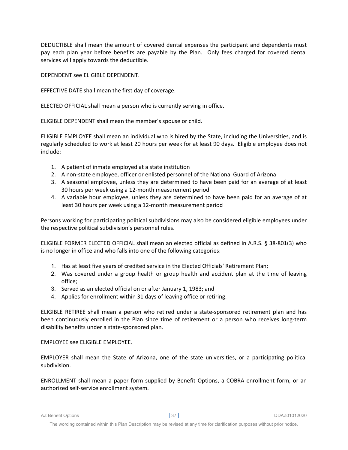DEDUCTIBLE shall mean the amount of covered dental expenses the participant and dependents must pay each plan year before benefits are payable by the Plan. Only fees charged for covered dental services will apply towards the deductible.

DEPENDENT see ELIGIBLE DEPENDENT.

EFFECTIVE DATE shall mean the first day of coverage.

ELECTED OFFICIAL shall mean a person who is currently serving in office.

ELIGIBLE DEPENDENT shall mean the member's spouse or child.

ELIGIBLE EMPLOYEE shall mean an individual who is hired by the State, including the Universities, and is regularly scheduled to work at least 20 hours per week for at least 90 days. Eligible employee does not include:

- 1. A patient of inmate employed at a state institution
- 2. A non‐state employee, officer or enlisted personnel of the National Guard of Arizona
- 3. A seasonal employee, unless they are determined to have been paid for an average of at least 30 hours per week using a 12‐month measurement period
- 4. A variable hour employee, unless they are determined to have been paid for an average of at least 30 hours per week using a 12‐month measurement period

Persons working for participating political subdivisions may also be considered eligible employees under the respective political subdivision's personnel rules.

ELIGIBLE FORMER ELECTED OFFICIAL shall mean an elected official as defined in A.R.S. § 38‐801(3) who is no longer in office and who falls into one of the following categories:

- 1. Has at least five years of credited service in the Elected Officials' Retirement Plan;
- 2. Was covered under a group health or group health and accident plan at the time of leaving office;
- 3. Served as an elected official on or after January 1, 1983; and
- 4. Applies for enrollment within 31 days of leaving office or retiring.

ELIGIBLE RETIREE shall mean a person who retired under a state‐sponsored retirement plan and has been continuously enrolled in the Plan since time of retirement or a person who receives long-term disability benefits under a state‐sponsored plan.

EMPLOYEE see ELIGIBLE EMPLOYEE.

EMPLOYER shall mean the State of Arizona, one of the state universities, or a participating political subdivision.

ENROLLMENT shall mean a paper form supplied by Benefit Options, a COBRA enrollment form, or an authorized self‐service enrollment system.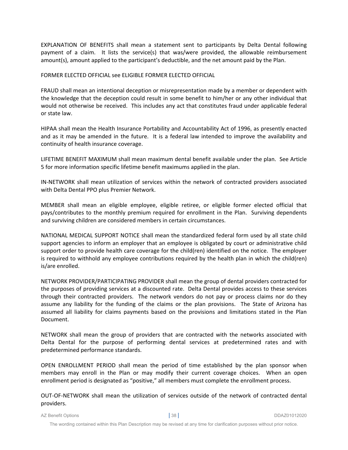EXPLANATION OF BENEFITS shall mean a statement sent to participants by Delta Dental following payment of a claim. It lists the service(s) that was/were provided, the allowable reimbursement amount(s), amount applied to the participant's deductible, and the net amount paid by the Plan.

#### FORMER ELECTED OFFICIAL see ELIGIBLE FORMER ELECTED OFFICIAL

FRAUD shall mean an intentional deception or misrepresentation made by a member or dependent with the knowledge that the deception could result in some benefit to him/her or any other individual that would not otherwise be received. This includes any act that constitutes fraud under applicable federal or state law.

HIPAA shall mean the Health Insurance Portability and Accountability Act of 1996, as presently enacted and as it may be amended in the future. It is a federal law intended to improve the availability and continuity of health insurance coverage.

LIFETIME BENEFIT MAXIMUM shall mean maximum dental benefit available under the plan. See Article 5 for more information specific lifetime benefit maximums applied in the plan.

IN‐NETWORK shall mean utilization of services within the network of contracted providers associated with Delta Dental PPO plus Premier Network.

MEMBER shall mean an eligible employee, eligible retiree, or eligible former elected official that pays/contributes to the monthly premium required for enrollment in the Plan. Surviving dependents and surviving children are considered members in certain circumstances.

NATIONAL MEDICAL SUPPORT NOTICE shall mean the standardized federal form used by all state child support agencies to inform an employer that an employee is obligated by court or administrative child support order to provide health care coverage for the child(ren) identified on the notice. The employer is required to withhold any employee contributions required by the health plan in which the child(ren) is/are enrolled.

NETWORK PROVIDER/PARTICIPATING PROVIDER shall mean the group of dental providers contracted for the purposes of providing services at a discounted rate. Delta Dental provides access to these services through their contracted providers. The network vendors do not pay or process claims nor do they assume any liability for the funding of the claims or the plan provisions. The State of Arizona has assumed all liability for claims payments based on the provisions and limitations stated in the Plan Document.

NETWORK shall mean the group of providers that are contracted with the networks associated with Delta Dental for the purpose of performing dental services at predetermined rates and with predetermined performance standards.

OPEN ENROLLMENT PERIOD shall mean the period of time established by the plan sponsor when members may enroll in the Plan or may modify their current coverage choices. When an open enrollment period is designated as "positive," all members must complete the enrollment process.

OUT‐OF‐NETWORK shall mean the utilization of services outside of the network of contracted dental providers.

AZ Benefit Options **|** 38 **|** DDAZ01012020

The wording contained within this Plan Description may be revised at any time for clarification purposes without prior notice.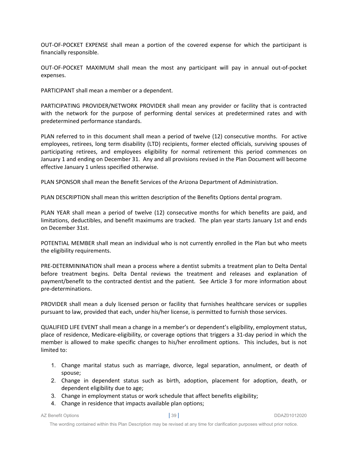OUT‐OF‐POCKET EXPENSE shall mean a portion of the covered expense for which the participant is financially responsible.

OUT‐OF‐POCKET MAXIMUM shall mean the most any participant will pay in annual out‐of‐pocket expenses.

PARTICIPANT shall mean a member or a dependent.

PARTICIPATING PROVIDER/NETWORK PROVIDER shall mean any provider or facility that is contracted with the network for the purpose of performing dental services at predetermined rates and with predetermined performance standards.

PLAN referred to in this document shall mean a period of twelve (12) consecutive months. For active employees, retirees, long term disability (LTD) recipients, former elected officials, surviving spouses of participating retirees, and employees eligibility for normal retirement this period commences on January 1 and ending on December 31. Any and all provisions revised in the Plan Document will become effective January 1 unless specified otherwise.

PLAN SPONSOR shall mean the Benefit Services of the Arizona Department of Administration.

PLAN DESCRIPTION shall mean this written description of the Benefits Options dental program.

PLAN YEAR shall mean a period of twelve (12) consecutive months for which benefits are paid, and limitations, deductibles, and benefit maximums are tracked. The plan year starts January 1st and ends on December 31st.

POTENTIAL MEMBER shall mean an individual who is not currently enrolled in the Plan but who meets the eligibility requirements.

PRE‐DETERMININATION shall mean a process where a dentist submits a treatment plan to Delta Dental before treatment begins. Delta Dental reviews the treatment and releases and explanation of payment/benefit to the contracted dentist and the patient. See Article 3 for more information about pre‐determinations.

PROVIDER shall mean a duly licensed person or facility that furnishes healthcare services or supplies pursuant to law, provided that each, under his/her license, is permitted to furnish those services.

QUALIFIED LIFE EVENT shall mean a change in a member's or dependent's eligibility, employment status, place of residence, Medicare‐eligibility, or coverage options that triggers a 31‐day period in which the member is allowed to make specific changes to his/her enrollment options. This includes, but is not limited to:

- 1. Change marital status such as marriage, divorce, legal separation, annulment, or death of spouse;
- 2. Change in dependent status such as birth, adoption, placement for adoption, death, or dependent eligibility due to age;
- 3. Change in employment status or work schedule that affect benefits eligibility;
- 4. Change in residence that impacts available plan options;